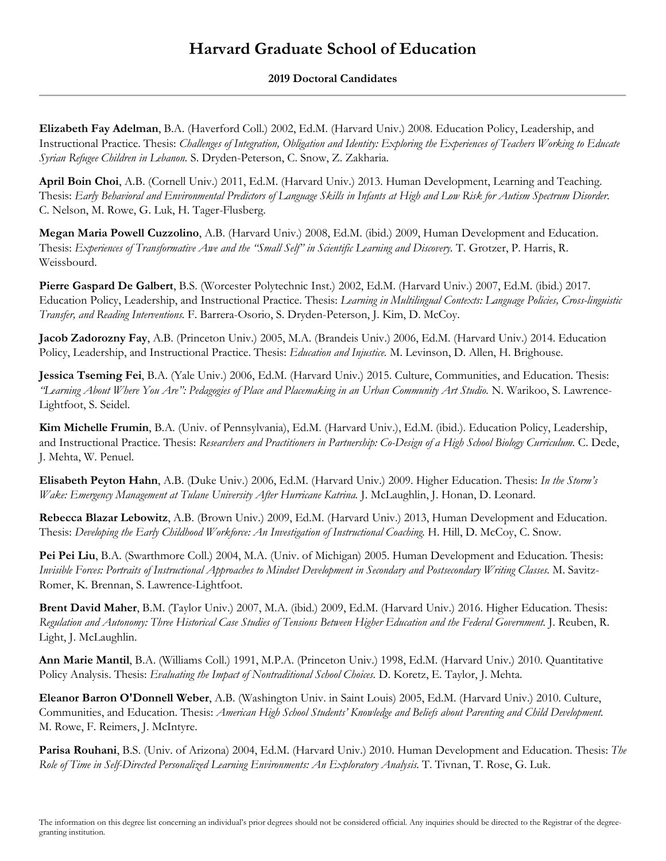## **Harvard Graduate School of Education**

## **2019 Doctoral Candidates**

**Elizabeth Fay Adelman**, B.A. (Haverford Coll.) 2002, Ed.M. (Harvard Univ.) 2008. Education Policy, Leadership, and Instructional Practice. Thesis: *Challenges of Integration, Obligation and Identity: Exploring the Experiences of Teachers Working to Educate Syrian Refugee Children in Lebanon.* S. Dryden-Peterson, C. Snow, Z. Zakharia.

**April Boin Choi**, A.B. (Cornell Univ.) 2011, Ed.M. (Harvard Univ.) 2013. Human Development, Learning and Teaching. Thesis: *Early Behavioral and Environmental Predictors of Language Skills in Infants at High and Low Risk for Autism Spectrum Disorder*. C. Nelson, M. Rowe, G. Luk, H. Tager-Flusberg.

**Megan Maria Powell Cuzzolino**, A.B. (Harvard Univ.) 2008, Ed.M. (ibid.) 2009, Human Development and Education. Thesis: *Experiences of Transformative Awe and the "Small Self" in Scientific Learning and Discovery.* T. Grotzer, P. Harris, R. Weissbourd.

**Pierre Gaspard De Galbert**, B.S. (Worcester Polytechnic Inst.) 2002, Ed.M. (Harvard Univ.) 2007, Ed.M. (ibid.) 2017. Education Policy, Leadership, and Instructional Practice. Thesis: *Learning in Multilingual Contexts: Language Policies, Cross-linguistic Transfer, and Reading Interventions.* F. Barrera-Osorio, S. Dryden-Peterson, J. Kim, D. McCoy.

**Jacob Zadorozny Fay**, A.B. (Princeton Univ.) 2005, M.A. (Brandeis Univ.) 2006, Ed.M. (Harvard Univ.) 2014. Education Policy, Leadership, and Instructional Practice. Thesis: *Education and Injustice.* M. Levinson, D. Allen, H. Brighouse.

**Jessica Tseming Fei**, B.A. (Yale Univ.) 2006, Ed.M. (Harvard Univ.) 2015. Culture, Communities, and Education. Thesis: *"Learning About Where You Are": Pedagogies of Place and Placemaking in an Urban Community Art Studio.* N. Warikoo, S. Lawrence-Lightfoot, S. Seidel.

**Kim Michelle Frumin**, B.A. (Univ. of Pennsylvania), Ed.M. (Harvard Univ.), Ed.M. (ibid.). Education Policy, Leadership, and Instructional Practice. Thesis: *Researchers and Practitioners in Partnership: Co-Design of a High School Biology Curriculum.* C. Dede, J. Mehta, W. Penuel.

**Elisabeth Peyton Hahn**, A.B. (Duke Univ.) 2006, Ed.M. (Harvard Univ.) 2009. Higher Education. Thesis: *In the Storm's Wake: Emergency Management at Tulane University After Hurricane Katrina.* J. McLaughlin, J. Honan, D. Leonard.

**Rebecca Blazar Lebowitz**, A.B. (Brown Univ.) 2009, Ed.M. (Harvard Univ.) 2013, Human Development and Education. Thesis: *Developing the Early Childhood Workforce: An Investigation of Instructional Coaching.* H. Hill, D. McCoy, C. Snow.

**Pei Pei Liu**, B.A. (Swarthmore Coll.) 2004, M.A. (Univ. of Michigan) 2005. Human Development and Education. Thesis: *Invisible Forces: Portraits of Instructional Approaches to Mindset Development in Secondary and Postsecondary Writing Classes.* M. Savitz-Romer, K. Brennan, S. Lawrence-Lightfoot.

**Brent David Maher**, B.M. (Taylor Univ.) 2007, M.A. (ibid.) 2009, Ed.M. (Harvard Univ.) 2016. Higher Education. Thesis: *Regulation and Autonomy: Three Historical Case Studies of Tensions Between Higher Education and the Federal Government.* J. Reuben, R. Light, J. McLaughlin.

**Ann Marie Mantil**, B.A. (Williams Coll.) 1991, M.P.A. (Princeton Univ.) 1998, Ed.M. (Harvard Univ.) 2010. Quantitative Policy Analysis. Thesis: *Evaluating the Impact of Nontraditional School Choices.* D. Koretz, E. Taylor, J. Mehta.

**Eleanor Barron O'Donnell Weber**, A.B. (Washington Univ. in Saint Louis) 2005, Ed.M. (Harvard Univ.) 2010. Culture, Communities, and Education. Thesis: *American High School Students' Knowledge and Beliefs about Parenting and Child Development.* M. Rowe, F. Reimers, J. McIntyre.

**Parisa Rouhani**, B.S. (Univ. of Arizona) 2004, Ed.M. (Harvard Univ.) 2010. Human Development and Education. Thesis: *The Role of Time in Self-Directed Personalized Learning Environments: An Exploratory Analysis.* T. Tivnan, T. Rose, G. Luk.